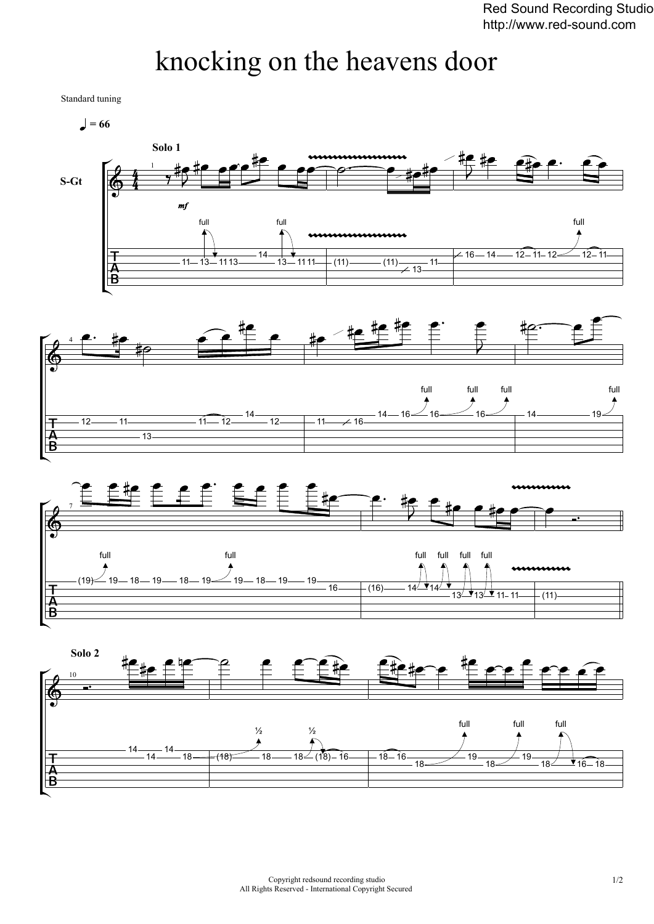## knocking on the heavens door

Standard tuning

 $\bullet$  = 66